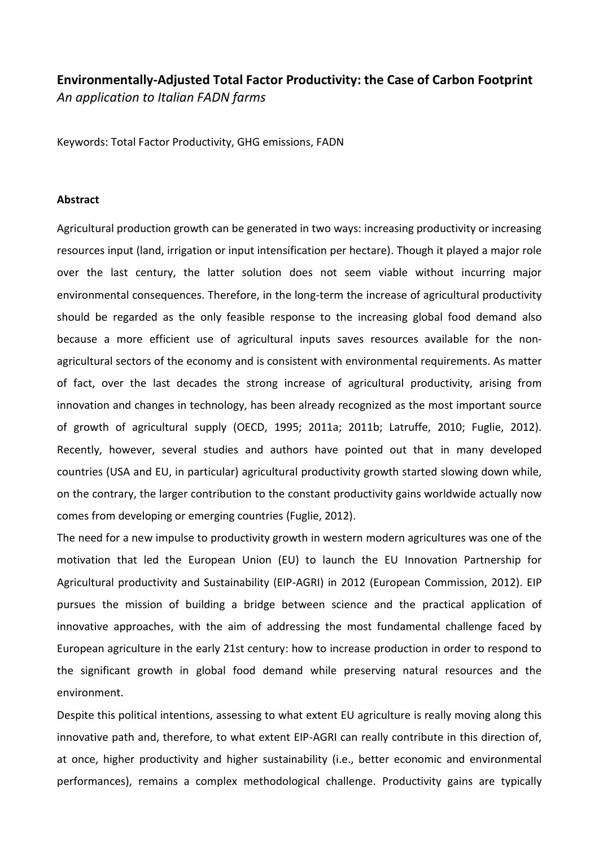## **Environmentally-Adjusted Total Factor Productivity: the Case of Carbon Footprint** *An application to Italian FADN farms*

Keywords: Total Factor Productivity, GHG emissions, FADN

## **Abstract**

Agricultural production growth can be generated in two ways: increasing productivity or increasing resources input (land, irrigation or input intensification per hectare). Though it played a major role over the last century, the latter solution does not seem viable without incurring major environmental consequences. Therefore, in the long-term the increase of agricultural productivity should be regarded as the only feasible response to the increasing global food demand also because a more efficient use of agricultural inputs saves resources available for the nonagricultural sectors of the economy and is consistent with environmental requirements. As matter of fact, over the last decades the strong increase of agricultural productivity, arising from innovation and changes in technology, has been already recognized as the most important source of growth of agricultural supply (OECD, 1995; 2011a; 2011b; Latruffe, 2010; Fuglie, 2012). Recently, however, several studies and authors have pointed out that in many developed countries (USA and EU, in particular) agricultural productivity growth started slowing down while, on the contrary, the larger contribution to the constant productivity gains worldwide actually now comes from developing or emerging countries (Fuglie, 2012).

The need for a new impulse to productivity growth in western modern agricultures was one of the motivation that led the European Union (EU) to launch the EU Innovation Partnership for Agricultural productivity and Sustainability (EIP-AGRI) in 2012 (European Commission, 2012). EIP pursues the mission of building a bridge between science and the practical application of innovative approaches, with the aim of addressing the most fundamental challenge faced by European agriculture in the early 21st century: how to increase production in order to respond to the significant growth in global food demand while preserving natural resources and the environment.

Despite this political intentions, assessing to what extent EU agriculture is really moving along this innovative path and, therefore, to what extent EIP-AGRI can really contribute in this direction of, at once, higher productivity and higher sustainability (i.e., better economic and environmental performances), remains a complex methodological challenge. Productivity gains are typically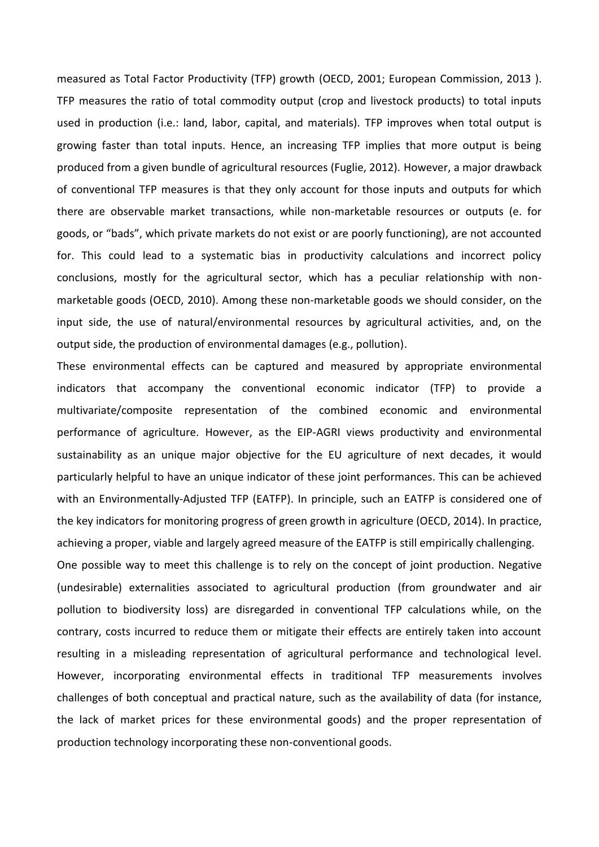measured as Total Factor Productivity (TFP) growth (OECD, 2001; European Commission, 2013 ). TFP measures the ratio of total commodity output (crop and livestock products) to total inputs used in production (i.e.: land, labor, capital, and materials). TFP improves when total output is growing faster than total inputs. Hence, an increasing TFP implies that more output is being produced from a given bundle of agricultural resources (Fuglie, 2012). However, a major drawback of conventional TFP measures is that they only account for those inputs and outputs for which there are observable market transactions, while non-marketable resources or outputs (e. for goods, or "bads", which private markets do not exist or are poorly functioning), are not accounted for. This could lead to a systematic bias in productivity calculations and incorrect policy conclusions, mostly for the agricultural sector, which has a peculiar relationship with nonmarketable goods (OECD, 2010). Among these non-marketable goods we should consider, on the input side, the use of natural/environmental resources by agricultural activities, and, on the output side, the production of environmental damages (e.g., pollution).

These environmental effects can be captured and measured by appropriate environmental indicators that accompany the conventional economic indicator (TFP) to provide a multivariate/composite representation of the combined economic and environmental performance of agriculture. However, as the EIP-AGRI views productivity and environmental sustainability as an unique major objective for the EU agriculture of next decades, it would particularly helpful to have an unique indicator of these joint performances. This can be achieved with an Environmentally-Adjusted TFP (EATFP). In principle, such an EATFP is considered one of the key indicators for monitoring progress of green growth in agriculture (OECD, 2014). In practice, achieving a proper, viable and largely agreed measure of the EATFP is still empirically challenging.

One possible way to meet this challenge is to rely on the concept of joint production. Negative (undesirable) externalities associated to agricultural production (from groundwater and air pollution to biodiversity loss) are disregarded in conventional TFP calculations while, on the contrary, costs incurred to reduce them or mitigate their effects are entirely taken into account resulting in a misleading representation of agricultural performance and technological level. However, incorporating environmental effects in traditional TFP measurements involves challenges of both conceptual and practical nature, such as the availability of data (for instance, the lack of market prices for these environmental goods) and the proper representation of production technology incorporating these non-conventional goods.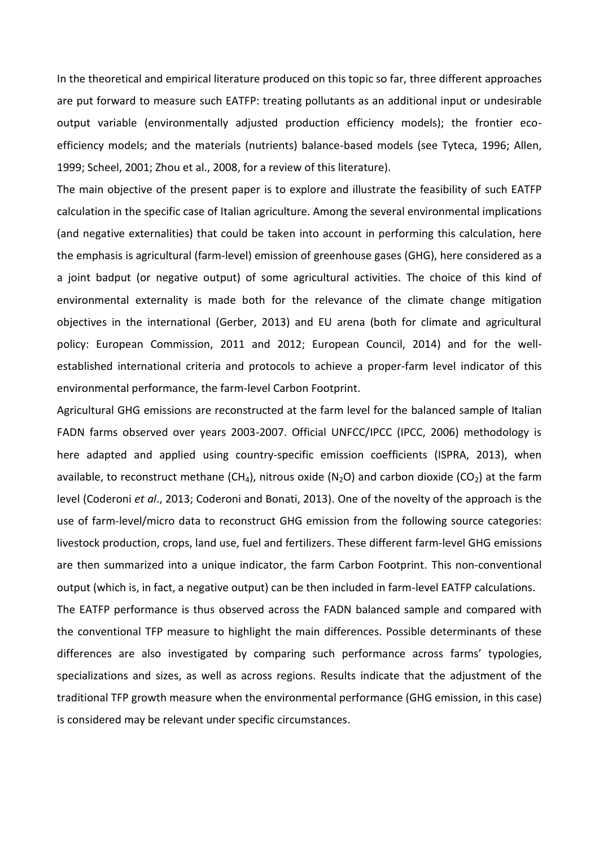In the theoretical and empirical literature produced on this topic so far, three different approaches are put forward to measure such EATFP: treating pollutants as an additional input or undesirable output variable (environmentally adjusted production efficiency models); the frontier ecoefficiency models; and the materials (nutrients) balance-based models (see Tyteca, 1996; Allen, 1999; Scheel, 2001; Zhou et al., 2008, for a review of this literature).

The main objective of the present paper is to explore and illustrate the feasibility of such EATFP calculation in the specific case of Italian agriculture. Among the several environmental implications (and negative externalities) that could be taken into account in performing this calculation, here the emphasis is agricultural (farm-level) emission of greenhouse gases (GHG), here considered as a a joint badput (or negative output) of some agricultural activities. The choice of this kind of environmental externality is made both for the relevance of the climate change mitigation objectives in the international (Gerber, 2013) and EU arena (both for climate and agricultural policy: European Commission, 2011 and 2012; European Council, 2014) and for the wellestablished international criteria and protocols to achieve a proper-farm level indicator of this environmental performance, the farm-level Carbon Footprint.

Agricultural GHG emissions are reconstructed at the farm level for the balanced sample of Italian FADN farms observed over years 2003-2007. Official UNFCC/IPCC (IPCC, 2006) methodology is here adapted and applied using country-specific emission coefficients (ISPRA, 2013), when available, to reconstruct methane (CH<sub>4</sub>), nitrous oxide (N<sub>2</sub>O) and carbon dioxide (CO<sub>2</sub>) at the farm level (Coderoni *et al*., 2013; Coderoni and Bonati, 2013). One of the novelty of the approach is the use of farm-level/micro data to reconstruct GHG emission from the following source categories: livestock production, crops, land use, fuel and fertilizers. These different farm-level GHG emissions are then summarized into a unique indicator, the farm Carbon Footprint. This non-conventional output (which is, in fact, a negative output) can be then included in farm-level EATFP calculations. The EATFP performance is thus observed across the FADN balanced sample and compared with

the conventional TFP measure to highlight the main differences. Possible determinants of these differences are also investigated by comparing such performance across farms' typologies, specializations and sizes, as well as across regions. Results indicate that the adjustment of the traditional TFP growth measure when the environmental performance (GHG emission, in this case) is considered may be relevant under specific circumstances.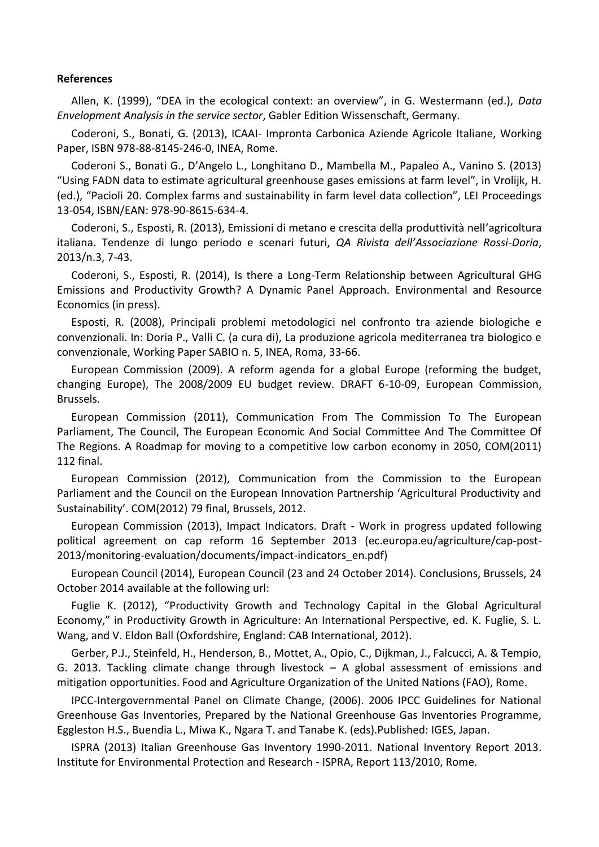## **References**

Allen, K. (1999), "DEA in the ecological context: an overview", in G. Westermann (ed.), *Data Envelopment Analysis in the service sector*, Gabler Edition Wissenschaft, Germany.

Coderoni, S., Bonati, G. (2013), ICAAI- Impronta Carbonica Aziende Agricole Italiane, Working Paper, ISBN 978-88-8145-246-0, INEA, Rome.

Coderoni S., Bonati G., D'Angelo L., Longhitano D., Mambella M., Papaleo A., Vanino S. (2013) "Using FADN data to estimate agricultural greenhouse gases emissions at farm level", in Vrolijk, H. (ed.), "Pacioli 20. Complex farms and sustainability in farm level data collection", LEI Proceedings 13-054, ISBN/EAN: 978-90-8615-634-4.

Coderoni, S., Esposti, R. (2013), Emissioni di metano e crescita della produttività nell'agricoltura italiana. Tendenze di lungo periodo e scenari futuri, *QA Rivista dell'Associazione Rossi-Doria*, 2013/n.3, 7-43.

Coderoni, S., Esposti, R. (2014), Is there a Long-Term Relationship between Agricultural GHG Emissions and Productivity Growth? A Dynamic Panel Approach. Environmental and Resource Economics (in press).

Esposti, R. (2008), Principali problemi metodologici nel confronto tra aziende biologiche e convenzionali. In: Doria P., Valli C. (a cura di), La produzione agricola mediterranea tra biologico e convenzionale, Working Paper SABIO n. 5, INEA, Roma, 33-66.

European Commission (2009). A reform agenda for a global Europe (reforming the budget, changing Europe), The 2008/2009 EU budget review. DRAFT 6-10-09, European Commission, Brussels.

European Commission (2011), Communication From The Commission To The European Parliament, The Council, The European Economic And Social Committee And The Committee Of The Regions. A Roadmap for moving to a competitive low carbon economy in 2050, COM(2011) 112 final.

European Commission (2012), Communication from the Commission to the European Parliament and the Council on the European Innovation Partnership 'Agricultural Productivity and Sustainability'. COM(2012) 79 final, Brussels, 2012.

European Commission (2013), Impact Indicators. Draft - Work in progress updated following political agreement on cap reform 16 September 2013 (ec.europa.eu/agriculture/cap-post-2013/monitoring-evaluation/documents/impact-indicators\_en.pdf)

European Council (2014), European Council (23 and 24 October 2014). Conclusions, Brussels, 24 October 2014 available at the following url:

Fuglie K. (2012), "Productivity Growth and Technology Capital in the Global Agricultural Economy," in Productivity Growth in Agriculture: An International Perspective, ed. K. Fuglie, S. L. Wang, and V. Eldon Ball (Oxfordshire, England: CAB International, 2012).

Gerber, P.J., Steinfeld, H., Henderson, B., Mottet, A., Opio, C., Dijkman, J., Falcucci, A. & Tempio, G. 2013. Tackling climate change through livestock – A global assessment of emissions and mitigation opportunities. Food and Agriculture Organization of the United Nations (FAO), Rome.

IPCC-Intergovernmental Panel on Climate Change, (2006). 2006 IPCC Guidelines for National Greenhouse Gas Inventories, Prepared by the National Greenhouse Gas Inventories Programme, Eggleston H.S., Buendia L., Miwa K., Ngara T. and Tanabe K. (eds).Published: IGES, Japan.

ISPRA (2013) Italian Greenhouse Gas Inventory 1990-2011. National Inventory Report 2013. Institute for Environmental Protection and Research - ISPRA, Report 113/2010, Rome.